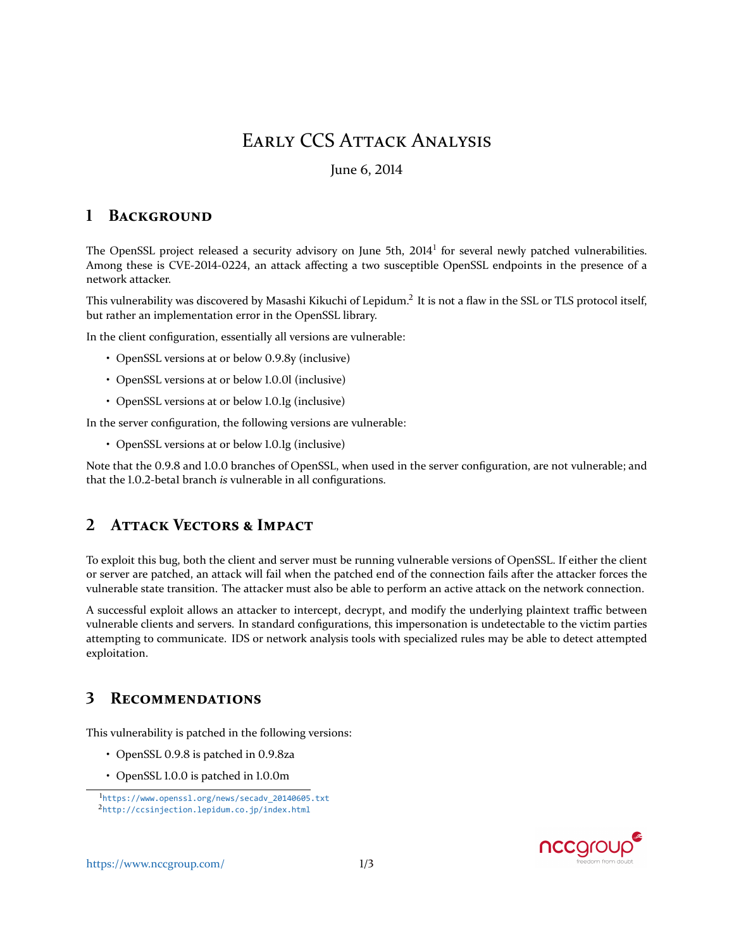# **EARLY CCS ATTACK ANALYSIS**

### June 6, 2014

#### 1 **BACKGROUND**

The OpenSSL project released a security advisory on June 5th, 2014<sup>1</sup> for several newly patched vulnerabilities. Among these is CVE-2014-0224, an attack affecting a two susceptible OpenSSL endpoints in the presence of a network attacker.

This vulnerability was discovered by Masashi Kikuchi of Lepidum.<sup>2</sup> It is not a flaw in the SSL or TLS protocol itself, but rather an implementation error in the OpenSSL library.

In the client configuration, essentially all versions are vulnerable:

- OpenSSL versions at or below 0.9.8y (inclusive)
- OpenSSL versions at or below 1.0.01 (inclusive)
- OpenSSL versions at or below 1.0.1g (inclusive)

In the server configuration, the following versions are vulnerable:

• OpenSSL versions at or below 1.0.1g (inclusive)

Note that the 0.9.8 and 1.0.0 branches of OpenSSL, when used in the server configuration, are not vulnerable; and that the 1.0.2-betal branch is vulnerable in all configurations.

#### $\mathcal{L}$ **ATTACK VECTORS & IMPACT**

To exploit this bug, both the client and server must be running vulnerable versions of OpenSSL. If either the client or server are patched, an attack will fail when the patched end of the connection fails after the attacker forces the vulnerable state transition. The attacker must also be able to perform an active attack on the network connection.

A successful exploit allows an attacker to intercept, decrypt, and modify the underlying plaintext traffic between vulnerable clients and servers. In standard configurations, this impersonation is undetectable to the victim parties attempting to communicate. IDS or network analysis tools with specialized rules may be able to detect attempted exploitation.

#### 3 **RECOMMENDATIONS**

This vulnerability is patched in the following versions:

- OpenSSL 0.9.8 is patched in 0.9.8za
- OpenSSL 1.0.0 is patched in 1.0.0m



<span id="page-0-1"></span><span id="page-0-0"></span><sup>&</sup>lt;sup>1</sup>https://www.openss1.org/news/secadv\_20140605.txt <sup>2</sup>http://ccsinjection.lepidum.co.jp/index.html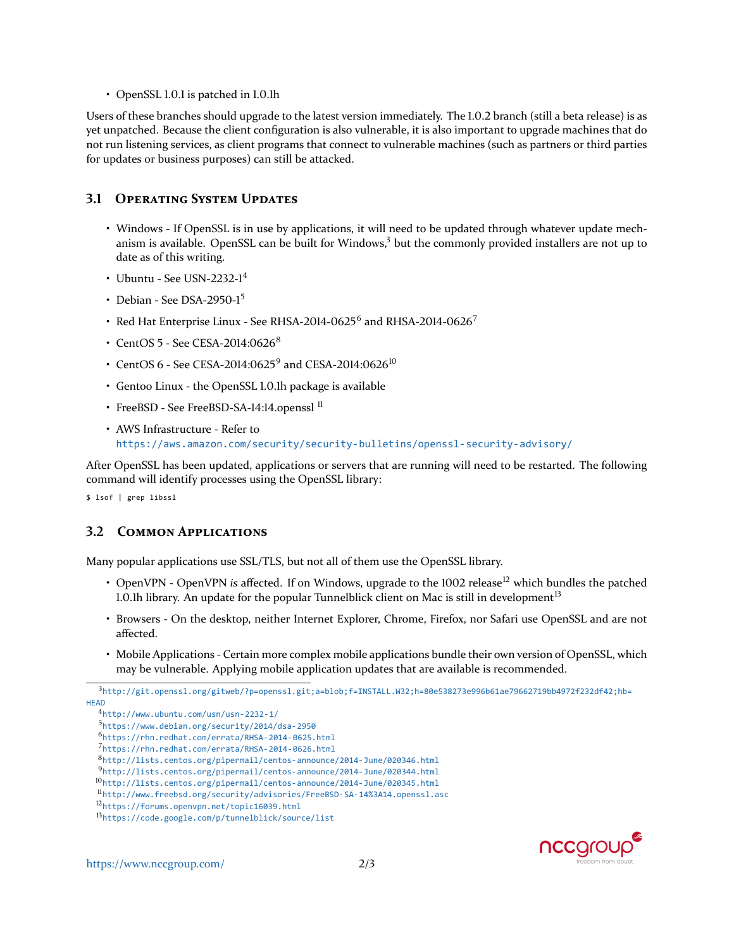• OpenSSL 1.0.1 is patched in 1.0.1h

Users of these branches should upgrade to the latest version immediately. The 1.0.2 branch (still a beta release) is as yet unpatched. Because the client configuration is also vulnerable, it is also important to upgrade machines that do not run listening services, as client programs that connect to vulnerable machines (such as partners or third parties for updates or business purposes) can still be attacked.

### **3.1 OPERATING SYSTEM UPDATES**

- Windows If OpenSSL is in use by applications, it will need to be updated through whatever update mechanism is available. OpenSSL can be built for Windows, $3$  but the commonly provided installers are not up to date as of this writing.
- Ubuntu See USN-2232-1 $4$
- Debian See DSA-2950-1<sup>5</sup>
- Red Hat Enterprise Linux See RHSA-2014-0625<sup>6</sup> and RHSA-2014-0626<sup>7</sup>
- CentOS  $5$  See CESA-2014:0626<sup>8</sup>
- CentOS 6 See CESA-2014:0625<sup>9</sup> and CESA-2014:0626<sup>10</sup>
- Gentoo Linux the OpenSSL 1.0.1h package is available
- FreeBSD See FreeBSD-SA-14:14.openssl<sup>11</sup>
- AWS Infrastructure Refer to <https://aws.amazon.com/security/security-bulletins/openssl-security-advisory/>

After OpenSSL has been updated, applications or servers that are running will need to be restarted. The following command will identify processes using the OpenSSL library:

\$ lsof | grep libssl

### **3.2 COMMON APPLICATIONS**

Many popular applications use SSL/TLS, but not all of them use the OpenSSL library.

- OpenVPN OpenVPN *is* affected. If on Windows, upgrade to the 1002 release<sup>12</sup> which bundles the patched 1.0.lh library. An update for the popular Tunnelblick client on Mac is still in development<sup>13</sup>
- Browsers On the desktop, neither Internet Explorer, Chrome, Firefox, nor Safari use OpenSSL and are not affected.
- Mobile Applications Certain more complex mobile applications bundle their own version of OpenSSL, which may be vulnerable. Applying mobile application updates that are available is recommended.



<span id="page-1-0"></span> $3$ [http://git.openssl.org/gitweb/?p=openssl.git;a=blob;f=INSTALL.W32;h=80e538273e996b61ae79662719bb4972f232df42;hb=](http://git.openssl.org/gitweb/?p=openssl.git;a=blob;f=INSTALL.W32;h=80e538273e996b61ae79662719bb4972f232df42;hb=HEAD) **[HEAD](http://git.openssl.org/gitweb/?p=openssl.git;a=blob;f=INSTALL.W32;h=80e538273e996b61ae79662719bb4972f232df42;hb=HEAD)** 

<span id="page-1-1"></span> $4$ <http://www.ubuntu.com/usn/usn-2232-1/>

<span id="page-1-2"></span><sup>͵</sup><https://www.debian.org/security/2014/dsa-2950>

<span id="page-1-3"></span><sup>Ͷ</sup><https://rhn.redhat.com/errata/RHSA-2014-0625.html>

<span id="page-1-4"></span><sup>ͷ</sup><https://rhn.redhat.com/errata/RHSA-2014-0626.html>

<span id="page-1-5"></span><http://lists.centos.org/pipermail/centos-announce/2014-June/020346.html>

<span id="page-1-6"></span><http://lists.centos.org/pipermail/centos-announce/2014-June/020344.html>

<span id="page-1-7"></span><sup>10</sup><http://lists.centos.org/pipermail/centos-announce/2014-June/020345.html>

<span id="page-1-8"></span>ͱͱ<http://www.freebsd.org/security/advisories/FreeBSD-SA-14%3A14.openssl.asc>

<span id="page-1-9"></span><sup>&</sup>lt;sup>12</sup><https://forums.openvpn.net/topic16039.html>

<span id="page-1-10"></span>ͱͳ<https://code.google.com/p/tunnelblick/source/list>